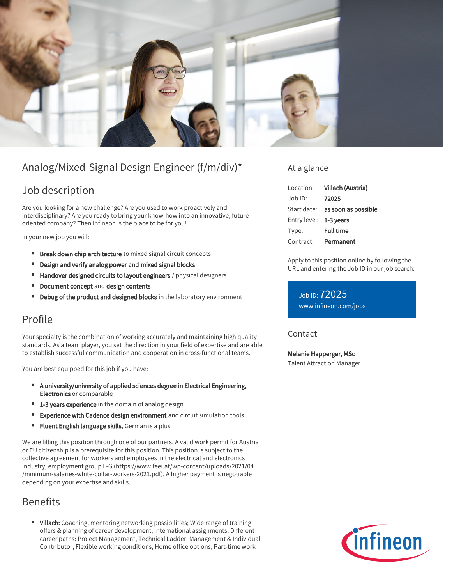

# Analog/Mixed-Signal Design Engineer (f/m/div)\*

## Job description

Are you looking for a new challenge? Are you used to work proactively and interdisciplinary? Are you ready to bring your know-how into an innovative, futureoriented company? Then Infineon is the place to be for you!

In your new job you will:

- **Break down chip architecture** to mixed signal circuit concepts
- Design and verify analog power and mixed signal blocks
- Handover designed circuits to layout engineers / physical designers
- Document concept and design contents
- Debug of the product and designed blocks in the laboratory environment

### Profile

Your specialty is the combination of working accurately and maintaining high quality standards. As a team player, you set the direction in your field of expertise and are able to establish successful communication and cooperation in cross-functional teams.

You are best equipped for this job if you have:

- A university/university of applied sciences degree in Electrical Engineering, Electronics or comparable
- 1-3 years experience in the domain of analog design
- $\bullet$ Experience with Cadence design environment and circuit simulation tools
- $\bullet$ Fluent English language skills, German is a plus

We are filling this position through one of our partners. A valid work permit for Austria or EU citizenship is a prerequisite for this position. This position is subject to the collective agreement for workers and employees in the electrical and electronics industry, employment group F-G (https://www.feei.at/wp-content/uploads/2021/04 /minimum-salaries-white-collar-workers-2021.pdf). A higher payment is negotiable depending on your expertise and skills.

## Benefits

• Villach: Coaching, mentoring networking possibilities; Wide range of training offers & planning of career development; International assignments; Different career paths: Project Management, Technical Ladder, Management & Individual Contributor; Flexible working conditions; Home office options; Part-time work

### At a glance

| Location:              | Villach (Austria)                      |
|------------------------|----------------------------------------|
| Job ID:                | 72025                                  |
|                        | Start date: <b>as soon as possible</b> |
| Entry level: 1-3 years |                                        |
| Type:                  | <b>Full time</b>                       |
| Contract:              | Permanent                              |

Apply to this position online by following the URL and entering the Job ID in our job search:

Job ID: 72025 [www.infineon.com/jobs](https://www.infineon.com/jobs)

### Contact

Melanie Happerger, MSc Talent Attraction Manager